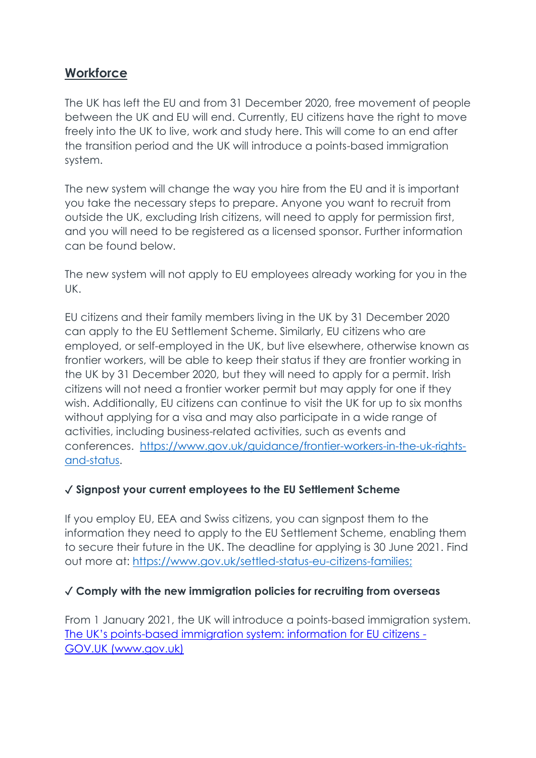## **Workforce**

The UK has left the EU and from 31 December 2020, free movement of people between the UK and EU will end. Currently, EU citizens have the right to move freely into the UK to live, work and study here. This will come to an end after the transition period and the UK will introduce a points-based immigration system.

The new system will change the way you hire from the EU and it is important you take the necessary steps to prepare. Anyone you want to recruit from outside the UK, excluding Irish citizens, will need to apply for permission first, and you will need to be registered as a licensed sponsor. Further information can be found below.

The new system will not apply to EU employees already working for you in the UK.

EU citizens and their family members living in the UK by 31 December 2020 can apply to the EU Settlement Scheme. Similarly, EU citizens who are employed, or self-employed in the UK, but live elsewhere, otherwise known as frontier workers, will be able to keep their status if they are frontier working in the UK by 31 December 2020, but they will need to apply for a permit. Irish citizens will not need a frontier worker permit but may apply for one if they wish. Additionally, EU citizens can continue to visit the UK for up to six months without applying for a visa and may also participate in a wide range of activities, including business-related activities, such as events and conferences. [https://www.gov.uk/guidance/frontier-workers-in-the-uk-rights](https://www.gov.uk/guidance/frontier-workers-in-the-uk-rights-and-status)[and-status.](https://www.gov.uk/guidance/frontier-workers-in-the-uk-rights-and-status)

#### ✓ **Signpost your current employees to the EU Settlement Scheme**

If you employ EU, EEA and Swiss citizens, you can signpost them to the information they need to apply to the EU Settlement Scheme, enabling them to secure their future in the UK. The deadline for applying is 30 June 2021. Find out more at: [https://www.gov.uk/settled-status-eu-citizens-families;](https://www.gov.uk/settled-status-eu-citizens-families)

#### ✓ **Comply with the new immigration policies for recruiting from overseas**

From 1 January 2021, the UK will introduce a points-based immigration system. The UK's points[-based immigration system: information for EU citizens -](https://www.gov.uk/guidance/the-uks-points-based-immigration-system-information-for-eu-citizens) [GOV.UK \(www.gov.uk\)](https://www.gov.uk/guidance/the-uks-points-based-immigration-system-information-for-eu-citizens)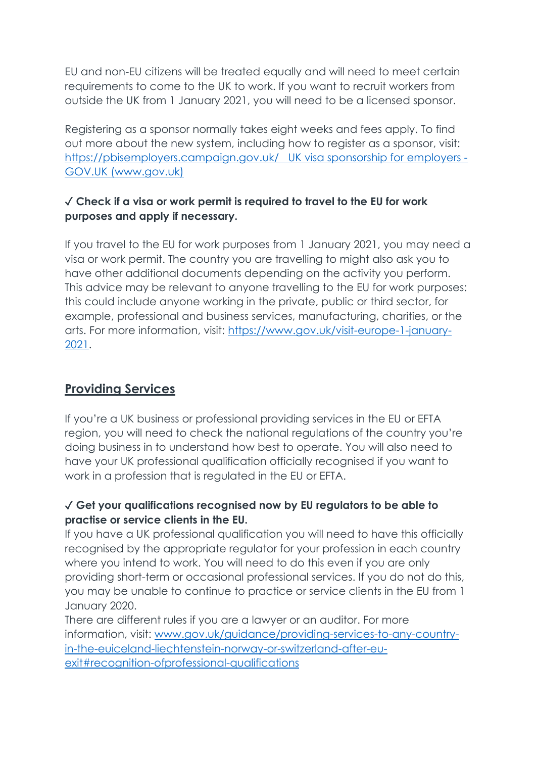EU and non-EU citizens will be treated equally and will need to meet certain requirements to come to the UK to work. If you want to recruit workers from outside the UK from 1 January 2021, you will need to be a licensed sponsor.

Registering as a sponsor normally takes eight weeks and fees apply. To find out more about the new system, including how to register as a sponsor, visit: <https://pbisemployers.campaign.gov.uk/>UK visa sponsorship for employers - GOV.UK (www.gov.uk)

## ✓ **Check if a visa or work permit is required to travel to the EU for work purposes and apply if necessary.**

If you travel to the EU for work purposes from 1 January 2021, you may need a visa or work permit. The country you are travelling to might also ask you to have other additional documents depending on the activity you perform. This advice may be relevant to anyone travelling to the EU for work purposes: this could include anyone working in the private, public or third sector, for example, professional and business services, manufacturing, charities, or the arts. For more information, visit: [https://www.gov.uk/visit-europe-1-january-](https://www.gov.uk/visit-europe-1-january-2021)[2021.](https://www.gov.uk/visit-europe-1-january-2021)

# **Providing Services**

If you're a UK business or professional providing services in the EU or EFTA region, you will need to check the national regulations of the country you're doing business in to understand how best to operate. You will also need to have your UK professional qualification officially recognised if you want to work in a profession that is regulated in the EU or EFTA.

### ✓ **Get your qualifications recognised now by EU regulators to be able to practise or service clients in the EU.**

If you have a UK professional qualification you will need to have this officially recognised by the appropriate regulator for your profession in each country where you intend to work. You will need to do this even if you are only providing short-term or occasional professional services. If you do not do this, you may be unable to continue to practice or service clients in the EU from 1 January 2020.

There are different rules if you are a lawyer or an auditor. For more information, visit: [www.gov.uk/guidance/providing-services-to-any-country](http://www.gov.uk/guidance/providing-services-to-any-country-in-the-euiceland-liechtenstein-norway-or-switzerland-after-eu-exit#recognition-ofprofessional-qualifications)[in-the-euiceland-liechtenstein-norway-or-switzerland-after-eu](http://www.gov.uk/guidance/providing-services-to-any-country-in-the-euiceland-liechtenstein-norway-or-switzerland-after-eu-exit#recognition-ofprofessional-qualifications)[exit#recognition-ofprofessional-qualifications](http://www.gov.uk/guidance/providing-services-to-any-country-in-the-euiceland-liechtenstein-norway-or-switzerland-after-eu-exit#recognition-ofprofessional-qualifications)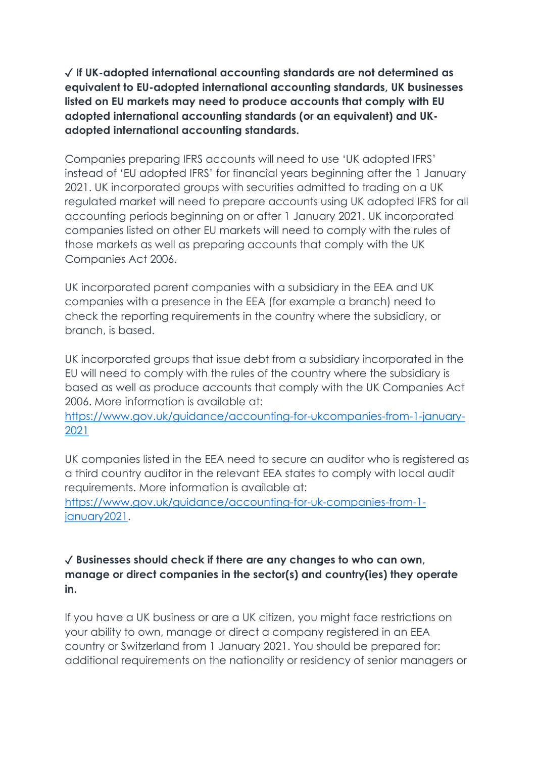✓ **If UK-adopted international accounting standards are not determined as equivalent to EU-adopted international accounting standards, UK businesses listed on EU markets may need to produce accounts that comply with EU adopted international accounting standards (or an equivalent) and UKadopted international accounting standards.**

Companies preparing IFRS accounts will need to use 'UK adopted IFRS' instead of 'EU adopted IFRS' for financial years beginning after the 1 January 2021. UK incorporated groups with securities admitted to trading on a UK regulated market will need to prepare accounts using UK adopted IFRS for all accounting periods beginning on or after 1 January 2021. UK incorporated companies listed on other EU markets will need to comply with the rules of those markets as well as preparing accounts that comply with the UK Companies Act 2006.

UK incorporated parent companies with a subsidiary in the EEA and UK companies with a presence in the EEA (for example a branch) need to check the reporting requirements in the country where the subsidiary, or branch, is based.

UK incorporated groups that issue debt from a subsidiary incorporated in the EU will need to comply with the rules of the country where the subsidiary is based as well as produce accounts that comply with the UK Companies Act 2006. More information is available at:

[https://www.gov.uk/guidance/accounting-for-ukcompanies-from-1-january-](https://www.gov.uk/guidance/accounting-for-ukcompanies-from-1-january-2021)[2021](https://www.gov.uk/guidance/accounting-for-ukcompanies-from-1-january-2021)

UK companies listed in the EEA need to secure an auditor who is registered as a third country auditor in the relevant EEA states to comply with local audit requirements. More information is available at:

[https://www.gov.uk/guidance/accounting-for-uk-companies-from-1](https://www.gov.uk/guidance/accounting-for-uk-companies-from-1-january2021) [january2021.](https://www.gov.uk/guidance/accounting-for-uk-companies-from-1-january2021)

#### ✓ **Businesses should check if there are any changes to who can own, manage or direct companies in the sector(s) and country(ies) they operate in.**

If you have a UK business or are a UK citizen, you might face restrictions on your ability to own, manage or direct a company registered in an EEA country or Switzerland from 1 January 2021. You should be prepared for: additional requirements on the nationality or residency of senior managers or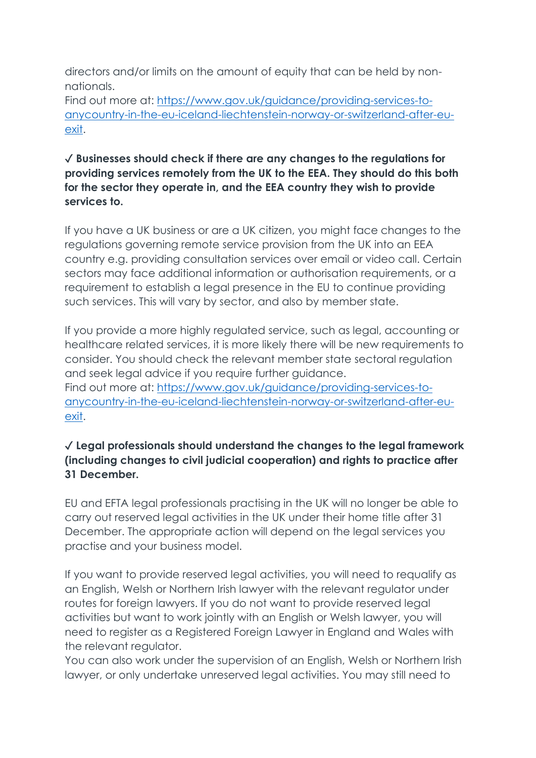directors and/or limits on the amount of equity that can be held by nonnationals.

Find out more at: [https://www.gov.uk/guidance/providing-services-to](https://www.gov.uk/guidance/providing-services-to-anycountry-in-the-eu-iceland-liechtenstein-norway-or-switzerland-after-eu-exit)[anycountry-in-the-eu-iceland-liechtenstein-norway-or-switzerland-after-eu](https://www.gov.uk/guidance/providing-services-to-anycountry-in-the-eu-iceland-liechtenstein-norway-or-switzerland-after-eu-exit)[exit.](https://www.gov.uk/guidance/providing-services-to-anycountry-in-the-eu-iceland-liechtenstein-norway-or-switzerland-after-eu-exit)

### ✓ **Businesses should check if there are any changes to the regulations for providing services remotely from the UK to the EEA. They should do this both for the sector they operate in, and the EEA country they wish to provide services to.**

If you have a UK business or are a UK citizen, you might face changes to the regulations governing remote service provision from the UK into an EEA country e.g. providing consultation services over email or video call. Certain sectors may face additional information or authorisation requirements, or a requirement to establish a legal presence in the EU to continue providing such services. This will vary by sector, and also by member state.

If you provide a more highly regulated service, such as legal, accounting or healthcare related services, it is more likely there will be new requirements to consider. You should check the relevant member state sectoral regulation and seek legal advice if you require further guidance. Find out more at: [https://www.gov.uk/guidance/providing-services-to](https://www.gov.uk/guidance/providing-services-to-anycountry-in-the-eu-iceland-liechtenstein-norway-or-switzerland-after-eu-exit)[anycountry-in-the-eu-iceland-liechtenstein-norway-or-switzerland-after-eu](https://www.gov.uk/guidance/providing-services-to-anycountry-in-the-eu-iceland-liechtenstein-norway-or-switzerland-after-eu-exit)[exit.](https://www.gov.uk/guidance/providing-services-to-anycountry-in-the-eu-iceland-liechtenstein-norway-or-switzerland-after-eu-exit)

### ✓ **Legal professionals should understand the changes to the legal framework (including changes to civil judicial cooperation) and rights to practice after 31 December.**

EU and EFTA legal professionals practising in the UK will no longer be able to carry out reserved legal activities in the UK under their home title after 31 December. The appropriate action will depend on the legal services you practise and your business model.

If you want to provide reserved legal activities, you will need to requalify as an English, Welsh or Northern Irish lawyer with the relevant regulator under routes for foreign lawyers. If you do not want to provide reserved legal activities but want to work jointly with an English or Welsh lawyer, you will need to register as a Registered Foreign Lawyer in England and Wales with the relevant regulator.

You can also work under the supervision of an English, Welsh or Northern Irish lawyer, or only undertake unreserved legal activities. You may still need to